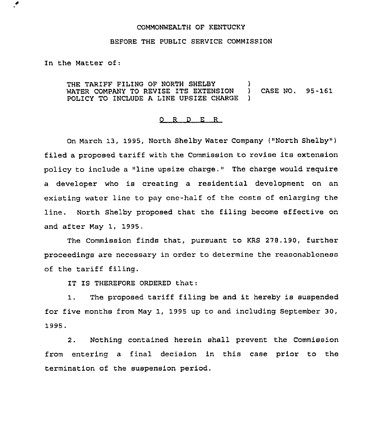## COMMONWEALTH OF KENTUCKY

## BEFORE THE PUBLIC SERVICE COMMISSION

In the Matter of:

 $\cdot$ 

THE TARIFF FILING OF NORTH SHELBY WATER COMPANY TO REVISE ITS EXTENSION ) CASE NO. 95-161 POLICY TO INCLUDE A LINE UPSIZE CHARGE

## $Q$  R D E R

On March 13, 1995, North Shelby Water Company ("North Shelby" ) filed a proposed tariff with the Commission to revise its extension policy to include <sup>a</sup> "line upsize charge," The charge would require a developer who is creating a residential development on an existing water line to pay one-half of the costs of enlarging the line. North Shelby proposed that the filing become effective on and after May 1, 1995.

The Commission finds that, pursuant to KRS 278. 190, further proceedings are necessary in order to determine the reasonableness of the tariff filing.

IT IS THEREFORE ORDERED that:

1. The proposed tariff filing be and it hereby is suspended for five months from May 1, 1995 up to and including September 30, 1995.

2. Nothing contained herein shall prevent the Commission from entering a final decision in this case prior to the termination of the suspension period,